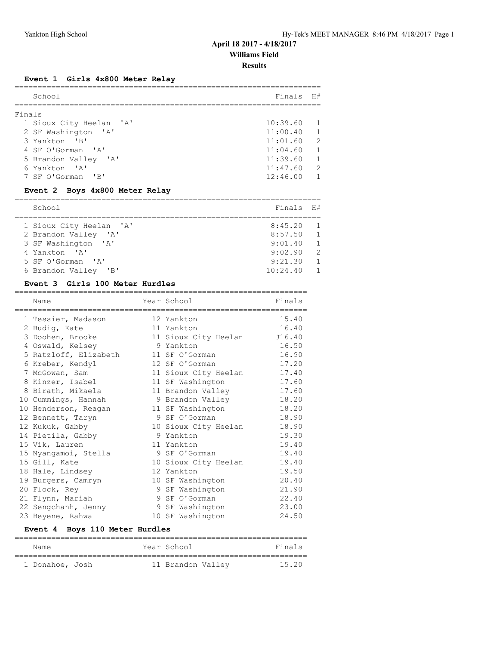# **April 18 2017 - 4/18/2017**

**Williams Field**

**Results**

# **Event 1 Girls 4x800 Meter Relay**

| School |                         | Finals H#    |                |
|--------|-------------------------|--------------|----------------|
| Finals |                         |              |                |
|        | 1 Sioux City Heelan 'A' | $10:39.60$ 1 |                |
|        | 2 SF Washington 'A'     | 11:00.40     | $\overline{1}$ |
|        | 3 Yankton 'B'           | 11:01.60     | $\mathcal{L}$  |
|        | 4 SF O'Gorman 'A'       | 11:04.60     | $\overline{1}$ |
|        | 5 Brandon Valley 'A'    | 11:39.60     | $\overline{1}$ |
|        | 6 Yankton 'A'           | 11:47.60     | 2              |
|        | 7 SF O'Gorman 'B'       | 12:46.00     |                |
|        |                         |              |                |

#### **Event 2 Boys 4x800 Meter Relay**

| School                  | Finals H# |                |
|-------------------------|-----------|----------------|
|                         |           |                |
| 1 Sioux City Heelan 'A' | 8:45.20   | $\sqrt{1}$     |
| 2 Brandon Valley 'A'    | 8:57.50   | $\sqrt{1}$     |
| 3 SF Washington 'A'     | 9:01.40   | $\overline{1}$ |
| 4 Yankton 'A'           | 9:02.90   | $\overline{2}$ |
| 5 SF O'Gorman 'A'       | 9:21.30   | $\overline{1}$ |
| 6 Brandon Valley 'B'    | 10:24.40  | $\overline{1}$ |

#### **Event 3 Girls 100 Meter Hurdles**

| Name<br>============== | Year School<br>=================== | Finals |
|------------------------|------------------------------------|--------|
| 1 Tessier, Madason     | 12 Yankton                         | 15.40  |
| 2 Budiq, Kate          | 11 Yankton                         | 16.40  |
| 3 Doohen, Brooke       | 11 Sioux City Heelan J16.40        |        |
| 4 Oswald, Kelsey       | 9 Yankton                          | 16.50  |
| 5 Ratzloff, Elizabeth  | 11 SF O'Gorman                     | 16.90  |
| 6 Kreber, Kendyl       | 12 SF O'Gorman                     | 17.20  |
| 7 McGowan, Sam         | 11 Sioux City Heelan               | 17.40  |
| 8 Kinzer, Isabel       | 11 SF Washington                   | 17.60  |
| 8 Birath, Mikaela      | 11 Brandon Valley                  | 17.60  |
| 10 Cummings, Hannah    | 9 Brandon Valley                   | 18.20  |
| 10 Henderson, Reagan   | 11 SF Washington                   | 18.20  |
| 12 Bennett, Taryn      | 9 SF O'Gorman                      | 18.90  |
| 12 Kukuk, Gabby        | 10 Sioux City Heelan               | 18.90  |
| 14 Pietila, Gabby      | 9 Yankton                          | 19.30  |
| 15 Vik, Lauren         | 11 Yankton                         | 19.40  |
| 15 Nyangamoi, Stella   | 9 SF O'Gorman                      | 19.40  |
| 15 Gill, Kate          | 10 Sioux City Heelan               | 19.40  |
| 18 Hale, Lindsey       | 12 Yankton                         | 19.50  |
| 19 Burgers, Camryn     | 10 SF Washington                   | 20.40  |
| 20 Flock, Rey          | 9 SF Washington                    | 21.90  |
| 21 Flynn, Mariah       | 9 SF O'Gorman                      | 22.40  |
| 22 Sengchanh, Jenny    | 9 SF Washington                    | 23.00  |
| 23 Beyene, Rahwa       | 10 SF Washington                   | 24.50  |

# **Event 4 Boys 110 Meter Hurdles**

| Name            | Year School       | Finals |
|-----------------|-------------------|--------|
| 1 Donahoe, Josh | 11 Brandon Valley | 15.20  |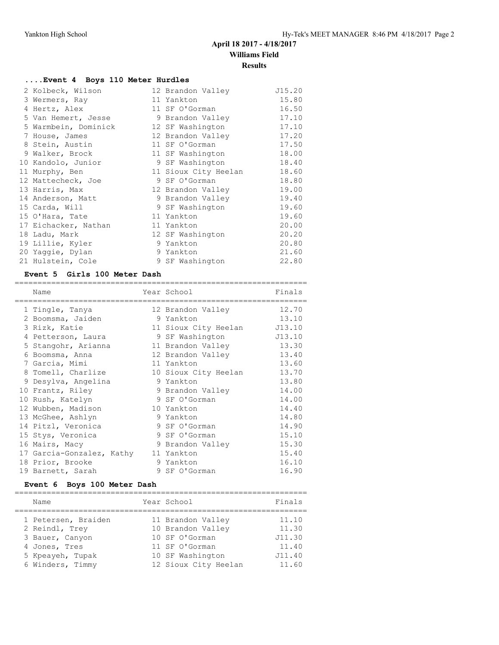# **April 18 2017 - 4/18/2017**

**Williams Field**

#### **Results**

# **....Event 4 Boys 110 Meter Hurdles**

| 2 Kolbeck, Wilson    | 12 Brandon Valley    | J15.20 |
|----------------------|----------------------|--------|
| 3 Wermers, Ray       | 11 Yankton           | 15.80  |
| 4 Hertz, Alex        | 11 SF O'Gorman       | 16.50  |
| 5 Van Hemert, Jesse  | 9 Brandon Valley     | 17.10  |
| 5 Warmbein, Dominick | 12 SF Washington     | 17.10  |
| 7 House, James       | 12 Brandon Valley    | 17.20  |
| 8 Stein, Austin      | 11 SF O'Gorman       | 17.50  |
| 9 Walker, Brock      | 11 SF Washington     | 18.00  |
| 10 Kandolo, Junior   | 9 SF Washington      | 18.40  |
| 11 Murphy, Ben       | 11 Sioux City Heelan | 18.60  |
| 12 Mattecheck, Joe   | 9 SF O'Gorman        | 18.80  |
| 13 Harris, Max       | 12 Brandon Valley    | 19.00  |
| 14 Anderson, Matt    | 9 Brandon Valley     | 19.40  |
| 15 Carda, Will       | 9 SF Washington      | 19.60  |
| 15 O'Hara, Tate      | 11 Yankton           | 19.60  |
| 17 Eichacker, Nathan | 11 Yankton           | 20.00  |
| 18 Ladu, Mark        | 12 SF Washington     | 20.20  |
| 19 Lillie, Kyler     | 9 Yankton            | 20.80  |
| 20 Yaggie, Dylan     | 9 Yankton            | 21.60  |
| 21 Hulstein, Cole    | 9 SF Washington      | 22.80  |

#### **Event 5 Girls 100 Meter Dash**

| Name                                 | Year School          | Finals |
|--------------------------------------|----------------------|--------|
| 1 Tingle, Tanya                      | 12 Brandon Valley    | 12.70  |
| 2 Boomsma, Jaiden                    | 9 Yankton            | 13.10  |
| 3 Rizk, Katie                        | 11 Sioux City Heelan | J13.10 |
| 4 Petterson, Laura                   | 9 SF Washington      | J13.10 |
| 5 Stangohr, Arianna                  | 11 Brandon Valley    | 13.30  |
| 6 Boomsma, Anna                      | 12 Brandon Valley    | 13.40  |
| 7 Garcia, Mimi                       | 11 Yankton           | 13.60  |
| 8 Tomell, Charlize                   | 10 Sioux City Heelan | 13.70  |
| 9 Desylva, Angelina                  | 9 Yankton            | 13.80  |
| 10 Frantz, Riley                     | 9 Brandon Valley     | 14.00  |
| 10 Rush, Katelyn                     | 9 SF O'Gorman        | 14.00  |
| 12 Wubben, Madison                   | 10 Yankton           | 14.40  |
| 13 McGhee, Ashlyn                    | 9 Yankton            | 14.80  |
| 14 Pitzl, Veronica                   | 9 SF O'Gorman        | 14.90  |
| 15 Stys, Veronica                    | 9 SF O'Gorman        | 15.10  |
| 16 Mairs, Macy                       | 9 Brandon Valley     | 15.30  |
| 17 Garcia-Gonzalez, Kathy 11 Yankton |                      | 15.40  |
| 18 Prior, Brooke                     | 9 Yankton            | 16.10  |
| 19 Barnett, Sarah                    | 9 SF O'Gorman        | 16.90  |

#### **Event 6 Boys 100 Meter Dash**

| Name                | Year School          | Finals |
|---------------------|----------------------|--------|
| 1 Petersen, Braiden | 11 Brandon Valley    | 11.10  |
| 2 Reindl, Trev      | 10 Brandon Valley    | 11.30  |
| 3 Bauer, Canyon     | 10 SF O'Gorman       | J11.30 |
| 4 Jones, Tres       | 11 SF O'Gorman       | 11.40  |
| 5 Kpeayeh, Tupak    | 10 SF Washington     | J11.40 |
| 6 Winders, Timmy    | 12 Sioux City Heelan | 11.60  |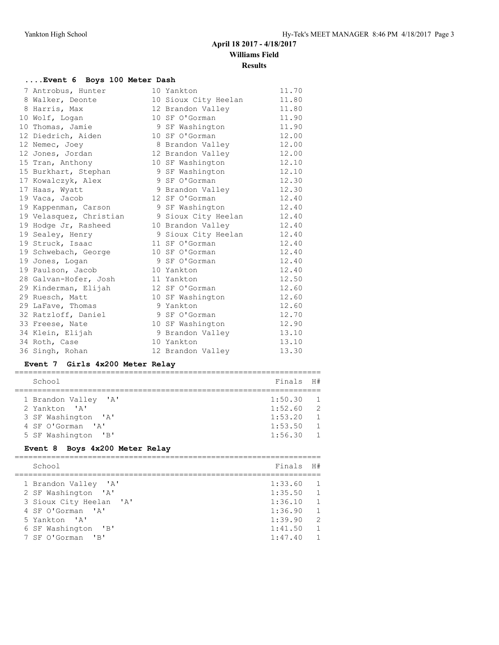**Results**

# **....Event 6 Boys 100 Meter Dash**

| 7 Antrobus, Hunter      | 10 Yankton           | 11.70 |
|-------------------------|----------------------|-------|
| 8 Walker, Deonte        | 10 Sioux City Heelan | 11.80 |
| 8 Harris, Max           | 12 Brandon Valley    | 11.80 |
| 10 Wolf, Logan          | 10 SF O'Gorman       | 11.90 |
| 10 Thomas, Jamie        | 9 SF Washington      | 11.90 |
| 12 Diedrich, Aiden      | 10 SF O'Gorman       | 12.00 |
| 12 Nemec, Joey          | 8 Brandon Valley     | 12.00 |
| 12 Jones, Jordan        | 12 Brandon Valley    | 12.00 |
| 15 Tran, Anthony        | 10 SF Washington     | 12.10 |
| 15 Burkhart, Stephan    | 9 SF Washington      | 12.10 |
| 17 Kowalczyk, Alex      | 9 SF O'Gorman        | 12.30 |
| 17 Haas, Wyatt          | 9 Brandon Valley     | 12.30 |
| 19 Vaca, Jacob          | 12 SF O'Gorman       | 12.40 |
| 19 Kappenman, Carson    | 9 SF Washington      | 12.40 |
| 19 Velasquez, Christian | 9 Sioux City Heelan  | 12.40 |
| 19 Hodge Jr, Rasheed    | 10 Brandon Valley    | 12.40 |
| 19 Sealey, Henry        | 9 Sioux City Heelan  | 12.40 |
| 19 Struck, Isaac        | 11 SF O'Gorman       | 12.40 |
| 19 Schwebach, George    | 10 SF O'Gorman       | 12.40 |
| 19 Jones, Logan         | 9 SF O'Gorman        | 12.40 |
| 19 Paulson, Jacob       | 10 Yankton           | 12.40 |
| 28 Galvan-Hofer, Josh   | 11 Yankton           | 12.50 |
| 29 Kinderman, Elijah    | 12 SF O'Gorman       | 12.60 |
| 29 Ruesch, Matt         | 10 SF Washington     | 12.60 |
| 29 LaFave, Thomas       | 9 Yankton            | 12.60 |
| 32 Ratzloff, Daniel     | 9 SF O'Gorman        | 12.70 |
| 33 Freese, Nate         | 10 SF Washington     | 12.90 |
| 34 Klein, Elijah        | 9 Brandon Valley     | 13.10 |
| 34 Roth, Case           | 10 Yankton           | 13.10 |
| 36 Singh, Rohan         | 12 Brandon Valley    | 13.30 |
|                         |                      |       |

# **Event 7 Girls 4x200 Meter Relay**

| School                                                                                                   | Finals H#                                             |                                                              |
|----------------------------------------------------------------------------------------------------------|-------------------------------------------------------|--------------------------------------------------------------|
| 1 Brandon Valley 'A'<br>2 Yankton 'A'<br>3 SF Washington 'A'<br>4 SF O'Gorman 'A'<br>5 SF Washington 'B' | 1:50.30<br>1:52.60 2<br>1:53.20<br>1:53.50<br>1:56.30 | $\sqrt{1}$<br>$\sqrt{1}$<br>$\overline{1}$<br>$\overline{1}$ |

# **Event 8 Boys 4x200 Meter Relay**

| School                  | Finals    | H#             |
|-------------------------|-----------|----------------|
| 1 Brandon Valley 'A'    | 1:33.60 1 |                |
| 2 SF Washington 'A'     | 1:35.50 1 |                |
| 3 Sioux City Heelan 'A' | 1:36.10 1 |                |
| 4 SF O'Gorman 'A'       | 1:36.90   | $\sim$ 1       |
| 5 Yankton 'A'           | 1:39.90   | $\overline{2}$ |
| 6 SF Washington 'B'     | 1:41.50   | $\overline{1}$ |
| 7 SF O'Gorman 'B'       | 1:47.40   | $\overline{1}$ |
|                         |           |                |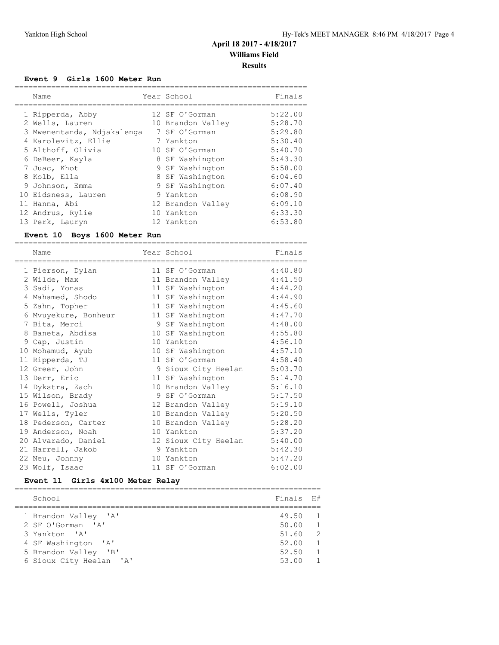#### **Event 9 Girls 1600 Meter Run**

| Name                       | Year School       | Finals  |
|----------------------------|-------------------|---------|
| 1 Ripperda, Abby           | 12 SF O'Gorman    | 5:22.00 |
| 2 Wells, Lauren            | 10 Brandon Valley | 5:28.70 |
| 3 Mwenentanda, Ndjakalenga | 7 SF O'Gorman     | 5:29.80 |
| 4 Karolevitz, Ellie        | 7 Yankton         | 5:30.40 |
| 5 Althoff, Olivia          | 10 SF O'Gorman    | 5:40.70 |
| 6 DeBeer, Kayla            | 8 SF Washington   | 5:43.30 |
| 7 Juac, Khot               | 9 SF Washington   | 5:58.00 |
| 8 Kolb, Ella               | 8 SF Washington   | 6:04.60 |
| 9 Johnson, Emma            | 9 SF Washington   | 6:07.40 |
| 10 Eidsness, Lauren        | 9 Yankton         | 6:08.90 |
| 11 Hanna, Abi              | 12 Brandon Valley | 6:09.10 |
| 12 Andrus, Rylie           | 10 Yankton        | 6:33.30 |
| 13 Perk, Lauryn            | 12 Yankton        | 6:53.80 |

#### **Event 10 Boys 1600 Meter Run**

================================================================ Name **Year School** Finals ================================================================ 1 Pierson, Dylan 11 SF O'Gorman 4:40.80 2 Wilde, Max 11 Brandon Valley 4:41.50 3 Sadi, Yonas 11 SF Washington 4:44.20 4 Mahamed, Shodo 11 SF Washington 4:44.90 5 Zahn, Topher 11 SF Washington 4:45.60 6 Mvuyekure, Bonheur 11 SF Washington 4:47.70 7 Bita, Merci 9 SF Washington 4:48.00 8 Baneta, Abdisa 10 SF Washington 4:55.80 9 Cap, Justin 10 Yankton 4:56.10 10 Mohamud, Ayub 10 SF Washington 4:57.10 11 Ripperda, TJ 11 SF O'Gorman 4:58.40 12 Greer, John 9 Sioux City Heelan 5:03.70 13 Derr, Eric 11 SF Washington 5:14.70 14 Dykstra, Zach 10 Brandon Valley 5:16.10 15 Wilson, Brady 9 SF O'Gorman 5:17.50 16 Powell, Joshua 12 Brandon Valley 5:19.10 17 Wells, Tyler 10 Brandon Valley 5:20.50 18 Pederson, Carter 10 Brandon Valley 5:28.20 19 Anderson, Noah 10 Yankton 5:37.20 20 Alvarado, Daniel 12 Sioux City Heelan 5:40.00 21 Harrell, Jakob 9 Yankton 5:42.30 22 Neu, Johnny 10 Yankton 5:47.20 23 Wolf, Isaac 11 SF O'Gorman 6:02.00

#### **Event 11 Girls 4x100 Meter Relay**

| School                  | Finals H# |                |
|-------------------------|-----------|----------------|
|                         |           |                |
| 1 Brandon Valley 'A'    | 49.50     | $\overline{1}$ |
| 2 SF O'Gorman 'A'       | 50.00     | $\overline{1}$ |
| 3 Yankton 'A'           | 51.60     | 2              |
| 4 SF Washington 'A'     | 52.00     | $\overline{1}$ |
| 5 Brandon Valley 'B'    | 52.50     | $\overline{1}$ |
| 6 Sioux City Heelan 'A' | 53.00     |                |
|                         |           |                |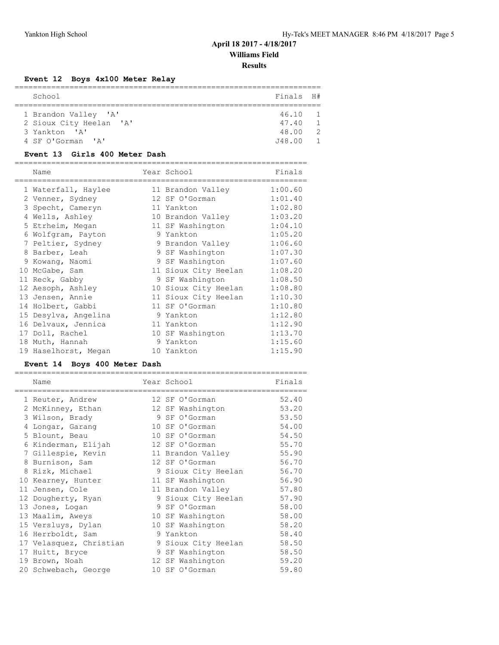**Results**

# **Event 12 Boys 4x100 Meter Relay**

| School                  | Finals H# |               |
|-------------------------|-----------|---------------|
|                         |           |               |
| 1 Brandon Valley 'A'    | 46.10     |               |
| 2 Sioux City Heelan 'A' | 47.40     |               |
| 3 Yankton 'A'           | 48.00     | $\mathcal{P}$ |
| 4 SF O'Gorman 'A'       | J48.00    |               |
|                         |           |               |

# **Event 13 Girls 400 Meter Dash**

| Name                 | Year School          | Finals  |
|----------------------|----------------------|---------|
| 1 Waterfall, Haylee  | 11 Brandon Valley    | 1:00.60 |
| 2 Venner, Sydney     | 12 SF O'Gorman       | 1:01.40 |
| 3 Specht, Cameryn    | 11 Yankton           | 1:02.80 |
| 4 Wells, Ashley      | 10 Brandon Valley    | 1:03.20 |
| 5 Etrheim, Megan     | 11 SF Washington     | 1:04.10 |
| 6 Wolfgram, Payton   | 9 Yankton            | 1:05.20 |
| 7 Peltier, Sydney    | 9 Brandon Valley     | 1:06.60 |
| 8 Barber, Leah       | 9 SF Washington      | 1:07.30 |
| 9 Kowang, Naomi      | 9 SF Washington      | 1:07.60 |
| 10 McGabe, Sam       | 11 Sioux City Heelan | 1:08.20 |
| 11 Reck, Gabby       | 9 SF Washington      | 1:08.50 |
| 12 Aesoph, Ashley    | 10 Sioux City Heelan | 1:08.80 |
| 13 Jensen, Annie     | 11 Sioux City Heelan | 1:10.30 |
| 14 Holbert, Gabbi    | 11 SF O'Gorman       | 1:10.80 |
| 15 Desylva, Angelina | 9 Yankton            | 1:12.80 |
| 16 Delvaux, Jennica  | 11 Yankton           | 1:12.90 |
| 17 Doll, Rachel      | 10 SF Washington     | 1:13.70 |
| 18 Muth, Hannah      | 9 Yankton            | 1:15.60 |
| 19 Haselhorst, Megan | 10 Yankton           | 1:15.90 |

# **Event 14 Boys 400 Meter Dash**

| Name                    | Year School<br>--------------- | Finals |
|-------------------------|--------------------------------|--------|
| 1 Reuter, Andrew        | 12 SF O'Gorman                 | 52.40  |
| 2 McKinney, Ethan       | 12 SF Washington               | 53.20  |
| 3 Wilson, Brady         | 9 SF O'Gorman                  | 53.50  |
| 4 Longar, Garang        | 10 SF O'Gorman                 | 54.00  |
| 5 Blount, Beau          | 10 SF O'Gorman                 | 54.50  |
| 6 Kinderman, Elijah     | 12 SF O'Gorman                 | 55.70  |
| 7 Gillespie, Kevin      | 11 Brandon Valley              | 55.90  |
| 8 Burnison, Sam         | 12 SF O'Gorman                 | 56.70  |
| 8 Rizk, Michael         | 9 Sioux City Heelan            | 56.70  |
| 10 Kearney, Hunter      | 11 SF Washington               | 56.90  |
| 11 Jensen, Cole         | 11 Brandon Valley              | 57.80  |
| 12 Dougherty, Ryan      | 9 Sioux City Heelan            | 57.90  |
| 13 Jones, Logan         | 9 SF O'Gorman                  | 58.00  |
| 13 Maalim, Aweys        | 10 SF Washington               | 58.00  |
| 15 Versluys, Dylan      | 10 SF Washington               | 58.20  |
| 16 Herrboldt, Sam       | 9 Yankton                      | 58.40  |
| 17 Velasquez, Christian | 9 Sioux City Heelan            | 58.50  |
| 17 Huitt, Bryce         | 9 SF Washington                | 58.50  |
| 19 Brown, Noah          | 12 SF Washington               | 59.20  |
| 20 Schwebach, George    | 10 SF O'Gorman                 | 59.80  |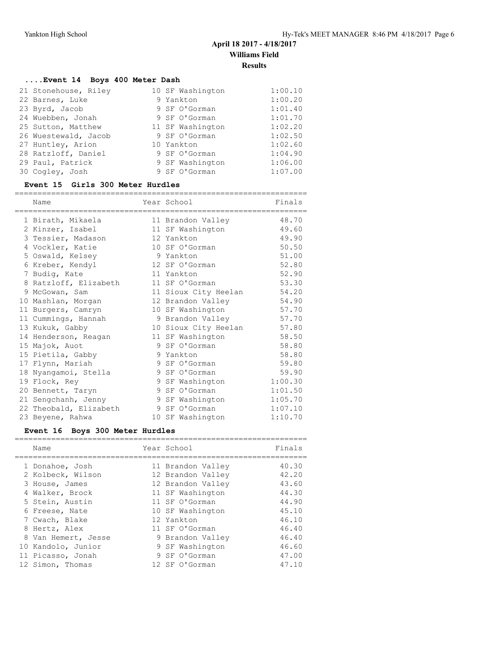# **....Event 14 Boys 400 Meter Dash**

| 21 Stonehouse, Riley | 10 SF Washington | 1:00.10 |
|----------------------|------------------|---------|
| 22 Barnes, Luke      | 9 Yankton        | 1:00.20 |
| 23 Byrd, Jacob       | 9 SF O'Gorman    | 1:01.40 |
| 24 Wuebben, Jonah    | 9 SF O'Gorman    | 1:01.70 |
| 25 Sutton, Matthew   | 11 SF Washington | 1:02.20 |
| 26 Wuestewald, Jacob | 9 SF O'Gorman    | 1:02.50 |
| 27 Huntley, Arion    | 10 Yankton       | 1:02.60 |
| 28 Ratzloff, Daniel  | 9 SF O'Gorman    | 1:04.90 |
| 29 Paul, Patrick     | 9 SF Washington  | 1:06.00 |
| 30 Cogley, Josh      | 9 SF O'Gorman    | 1:07.00 |

#### **Event 15 Girls 300 Meter Hurdles**

| Name                   | Year School          | Finals  |
|------------------------|----------------------|---------|
| 1 Birath, Mikaela      | 11 Brandon Valley    | 48.70   |
| 2 Kinzer, Isabel       | 11 SF Washington     | 49.60   |
| 3 Tessier, Madason     | 12 Yankton           | 49.90   |
| 4 Vockler, Katie       | 10 SF O'Gorman       | 50.50   |
| 5 Oswald, Kelsey       | 9 Yankton            | 51.00   |
| 6 Kreber, Kendyl       | 12 SF O'Gorman       | 52.80   |
| 7 Budiq, Kate          | 11 Yankton           | 52.90   |
| 8 Ratzloff, Elizabeth  | 11 SF O'Gorman       | 53.30   |
| 9 McGowan, Sam         | 11 Sioux City Heelan | 54.20   |
| 10 Mashlan, Morgan     | 12 Brandon Valley    | 54.90   |
| 11 Burgers, Camryn     | 10 SF Washington     | 57.70   |
| 11 Cummings, Hannah    | 9 Brandon Valley     | 57.70   |
| 13 Kukuk, Gabby        | 10 Sioux City Heelan | 57.80   |
| 14 Henderson, Reagan   | 11 SF Washington     | 58.50   |
| 15 Majok, Auot         | 9 SF O'Gorman        | 58.80   |
| 15 Pietila, Gabby      | 9 Yankton            | 58.80   |
| 17 Flynn, Mariah       | 9 SF O'Gorman        | 59.80   |
| 18 Nyangamoi, Stella   | 9 SF O'Gorman        | 59.90   |
| 19 Flock, Rey          | 9 SF Washington      | 1:00.30 |
| 20 Bennett, Taryn      | 9 SF O'Gorman        | 1:01.50 |
| 21 Sengchanh, Jenny    | 9 SF Washington      | 1:05.70 |
| 22 Theobald, Elizabeth | 9 SF O'Gorman        | 1:07.10 |
| 23 Beyene, Rahwa       | 10 SF Washington     | 1:10.70 |

# **Event 16 Boys 300 Meter Hurdles**

| Name                                                                                                                                                                                           | Year School                                                                                                                                                                                  | Finals                                                                                 |
|------------------------------------------------------------------------------------------------------------------------------------------------------------------------------------------------|----------------------------------------------------------------------------------------------------------------------------------------------------------------------------------------------|----------------------------------------------------------------------------------------|
| 1 Donahoe, Josh<br>2 Kolbeck, Wilson<br>3 House, James<br>4 Walker, Brock<br>5 Stein, Austin<br>6 Freese, Nate<br>7 Cwach, Blake<br>8 Hertz, Alex<br>8 Van Hemert, Jesse<br>10 Kandolo, Junior | 11 Brandon Valley<br>12 Brandon Valley<br>12 Brandon Valley<br>11 SF Washington<br>11 SF O'Gorman<br>10 SF Washington<br>12 Yankton<br>11 SF O'Gorman<br>9 Brandon Valley<br>9 SF Washington | 40.30<br>42.20<br>43.60<br>44.30<br>44.90<br>45.10<br>46.10<br>46.40<br>46.40<br>46.60 |
| 11 Picasso, Jonah<br>12 Simon, Thomas                                                                                                                                                          | 9 SF O'Gorman<br>12 SF O'Gorman                                                                                                                                                              | 47.00<br>47.10                                                                         |
|                                                                                                                                                                                                |                                                                                                                                                                                              |                                                                                        |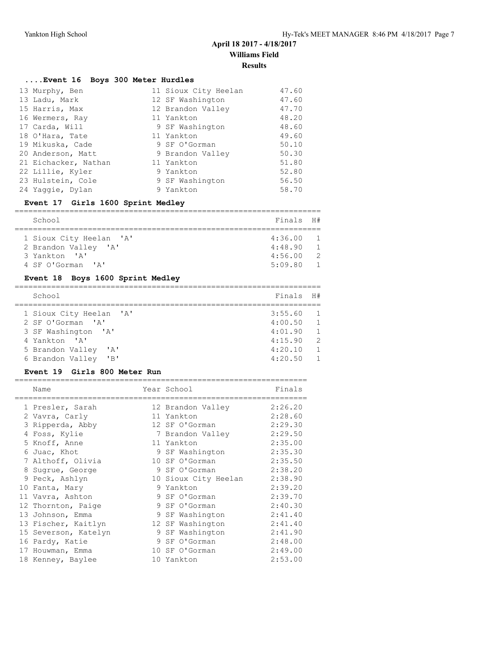# **April 18 2017 - 4/18/2017**

**Williams Field**

#### **Results**

# **....Event 16 Boys 300 Meter Hurdles**

| 13 Murphy, Ben       | 11 Sioux City Heelan | 47.60 |
|----------------------|----------------------|-------|
| 13 Ladu, Mark        | 12 SF Washington     | 47.60 |
| 15 Harris, Max       | 12 Brandon Valley    | 47.70 |
| 16 Wermers, Ray      | 11 Yankton           | 48.20 |
| 17 Carda, Will       | 9 SF Washington      | 48.60 |
| 18 O'Hara, Tate      | 11 Yankton           | 49.60 |
| 19 Mikuska, Cade     | 9 SF O'Gorman        | 50.10 |
| 20 Anderson, Matt    | 9 Brandon Valley     | 50.30 |
| 21 Eichacker, Nathan | 11 Yankton           | 51.80 |
| 22 Lillie, Kyler     | 9 Yankton            | 52.80 |
| 23 Hulstein, Cole    | 9 SF Washington      | 56.50 |
| 24 Yaqqie, Dylan     | 9 Yankton            | 58.70 |

#### **Event 17 Girls 1600 Sprint Medley**

| School                  | Finals H# |                |  |  |  |
|-------------------------|-----------|----------------|--|--|--|
|                         |           |                |  |  |  |
| 1 Sioux City Heelan 'A' | 4:36.00   |                |  |  |  |
| 2 Brandon Valley 'A'    | 4:48.90   |                |  |  |  |
| 3 Yankton 'A'           | 4:56.00   | $\overline{2}$ |  |  |  |
| 4 SF O'Gorman 'A'       | 5:09.80   |                |  |  |  |

# **Event 18 Boys 1600 Sprint Medley**

| School                       | Finals  | H#             |
|------------------------------|---------|----------------|
| 1 Sioux City Heelan 'A'      | 3:55.60 | $\overline{1}$ |
|                              |         |                |
| 2 SF O'Gorman 'A'            | 4:00.50 | $\overline{1}$ |
| 3 SF Washington 'A'          | 4:01.90 | $\overline{1}$ |
| 4 Yankton 'A'                | 4:15.90 | $\overline{2}$ |
| 5 Brandon Valley<br>יבי      | 4:20.10 | $\overline{1}$ |
| $'$ $B'$<br>6 Brandon Valley | 4:20.50 | $\mathbf{1}$   |
|                              |         |                |

#### **Event 19 Girls 800 Meter Run**

| Name                 | Year School          | Finals  |
|----------------------|----------------------|---------|
| 1 Presler, Sarah     | 12 Brandon Valley    | 2:26.20 |
| 2 Vavra, Carly       | 11 Yankton           | 2:28.60 |
| 3 Ripperda, Abby     | 12 SF O'Gorman       | 2:29.30 |
| 4 Foss, Kylie        | 7 Brandon Valley     | 2:29.50 |
| 5 Knoff, Anne        | 11 Yankton           | 2:35.00 |
| 6 Juac, Khot         | 9 SF Washington      | 2:35.30 |
| 7 Althoff, Olivia    | 10 SF O'Gorman       | 2:35.50 |
| 8 Sugrue, George     | 9 SF O'Gorman        | 2:38.20 |
| 9 Peck, Ashlyn       | 10 Sioux City Heelan | 2:38.90 |
| 10 Fanta, Mary       | 9 Yankton            | 2:39.20 |
| 11 Vavra, Ashton     | 9 SF O'Gorman        | 2:39.70 |
| 12 Thornton, Paige   | 9 SF O'Gorman        | 2:40.30 |
| 13 Johnson, Emma     | 9 SF Washington      | 2:41.40 |
| 13 Fischer, Kaitlyn  | 12 SF Washington     | 2:41.40 |
| 15 Severson, Katelyn | 9 SF Washington      | 2:41.90 |
| 16 Pardy, Katie      | 9 SF O'Gorman        | 2:48.00 |
| 17 Houwman, Emma     | 10 SF O'Gorman       | 2:49.00 |
| 18 Kenney, Baylee    | 10 Yankton           | 2:53.00 |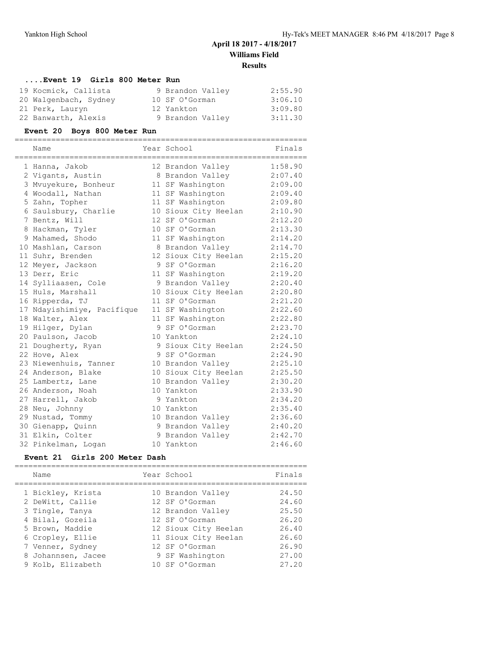# **....Event 19 Girls 800 Meter Run**

| 19 Kocmick, Callista  | 9 Brandon Valley | 2:55.90 |
|-----------------------|------------------|---------|
| 20 Walgenbach, Sydney | 10 SF O'Gorman   | 3:06.10 |
| 21 Perk, Lauryn       | 12 Yankton       | 3:09.80 |
| 22 Banwarth, Alexis   | 9 Brandon Valley | 3:11.30 |

#### **Event 20 Boys 800 Meter Run**

| Year School<br>Finals<br>Name<br>1:58.90<br>12 Brandon Valley<br>1 Hanna, Jakob<br>8 Brandon Valley 2:07.40<br>2 Vigants, Austin<br>2:09.00<br>3 Mvuyekure, Bonheur<br>11 SF Washington<br>4 Woodall, Nathan<br>2:09.40<br>11 SF Washington<br>2:09.80<br>5 Zahn, Topher<br>11 SF Washington<br>10 Sioux City Heelan 2:10.90<br>6 Saulsbury, Charlie<br>12 SF O'Gorman<br>7 Bentz, Will<br>2:12.20<br>10 SF O'Gorman<br>2:13.30<br>8 Hackman, Tyler<br>2:14.20<br>9 Mahamed, Shodo<br>11 SF Washington<br>2:14.70<br>10 Mashlan, Carson<br>8 Brandon Valley<br>11 Suhr, Brenden<br>12 Sioux City Heelan<br>2:15.20<br>12 Meyer, Jackson<br>9 SF O'Gorman<br>2:16.20<br>13 Derr, Eric<br>11 SF Washington<br>2:19.20<br>14 Sylliaasen, Cole<br>9 Brandon Valley<br>2:20.40<br>15 Huls, Marshall<br>10 Sioux City Heelan<br>2:20.80<br>11 SF O'Gorman<br>2:21.20<br>16 Ripperda, TJ<br>17 Ndayishimiye, Pacifique<br>2:22.60<br>11 SF Washington<br>18 Walter, Alex<br>11 SF Washington<br>2:22.80<br>2:23.70<br>19 Hilger, Dylan<br>9 SF O'Gorman<br>20 Paulson, Jacob<br>10 Yankton<br>2:24.10<br>21 Dougherty, Ryan<br>9 Sioux City Heelan<br>2:24.50<br>9 SF O'Gorman<br>2:24.90<br>22 Hove, Alex<br>2:25.10<br>23 Niewenhuis, Tanner<br>10 Brandon Valley<br>24 Anderson, Blake<br>10 Sioux City Heelan<br>2:25.50<br>2:30.20<br>25 Lambertz, Lane<br>10 Brandon Valley<br>26 Anderson, Noah<br>10 Yankton<br>2:33.90<br>27 Harrell, Jakob<br>9 Yankton<br>2:34.20<br>10 Yankton<br>2:35.40<br>28 Neu, Johnny<br>2:36.60<br>29 Nustad, Tommy<br>10 Brandon Valley<br>2:40.20<br>30 Gienapp, Quinn<br>9 Brandon Valley<br>31 Elkin, Colter<br>9 Brandon Valley<br>2:42.70<br>10 Yankton<br>32 Pinkelman, Logan<br>2:46.60 |  |  |  |
|-----------------------------------------------------------------------------------------------------------------------------------------------------------------------------------------------------------------------------------------------------------------------------------------------------------------------------------------------------------------------------------------------------------------------------------------------------------------------------------------------------------------------------------------------------------------------------------------------------------------------------------------------------------------------------------------------------------------------------------------------------------------------------------------------------------------------------------------------------------------------------------------------------------------------------------------------------------------------------------------------------------------------------------------------------------------------------------------------------------------------------------------------------------------------------------------------------------------------------------------------------------------------------------------------------------------------------------------------------------------------------------------------------------------------------------------------------------------------------------------------------------------------------------------------------------------------------------------------------------------------------------------------------------------------------------------------------------------------------|--|--|--|
|                                                                                                                                                                                                                                                                                                                                                                                                                                                                                                                                                                                                                                                                                                                                                                                                                                                                                                                                                                                                                                                                                                                                                                                                                                                                                                                                                                                                                                                                                                                                                                                                                                                                                                                             |  |  |  |
|                                                                                                                                                                                                                                                                                                                                                                                                                                                                                                                                                                                                                                                                                                                                                                                                                                                                                                                                                                                                                                                                                                                                                                                                                                                                                                                                                                                                                                                                                                                                                                                                                                                                                                                             |  |  |  |
|                                                                                                                                                                                                                                                                                                                                                                                                                                                                                                                                                                                                                                                                                                                                                                                                                                                                                                                                                                                                                                                                                                                                                                                                                                                                                                                                                                                                                                                                                                                                                                                                                                                                                                                             |  |  |  |
|                                                                                                                                                                                                                                                                                                                                                                                                                                                                                                                                                                                                                                                                                                                                                                                                                                                                                                                                                                                                                                                                                                                                                                                                                                                                                                                                                                                                                                                                                                                                                                                                                                                                                                                             |  |  |  |
|                                                                                                                                                                                                                                                                                                                                                                                                                                                                                                                                                                                                                                                                                                                                                                                                                                                                                                                                                                                                                                                                                                                                                                                                                                                                                                                                                                                                                                                                                                                                                                                                                                                                                                                             |  |  |  |
|                                                                                                                                                                                                                                                                                                                                                                                                                                                                                                                                                                                                                                                                                                                                                                                                                                                                                                                                                                                                                                                                                                                                                                                                                                                                                                                                                                                                                                                                                                                                                                                                                                                                                                                             |  |  |  |
|                                                                                                                                                                                                                                                                                                                                                                                                                                                                                                                                                                                                                                                                                                                                                                                                                                                                                                                                                                                                                                                                                                                                                                                                                                                                                                                                                                                                                                                                                                                                                                                                                                                                                                                             |  |  |  |
|                                                                                                                                                                                                                                                                                                                                                                                                                                                                                                                                                                                                                                                                                                                                                                                                                                                                                                                                                                                                                                                                                                                                                                                                                                                                                                                                                                                                                                                                                                                                                                                                                                                                                                                             |  |  |  |
|                                                                                                                                                                                                                                                                                                                                                                                                                                                                                                                                                                                                                                                                                                                                                                                                                                                                                                                                                                                                                                                                                                                                                                                                                                                                                                                                                                                                                                                                                                                                                                                                                                                                                                                             |  |  |  |
|                                                                                                                                                                                                                                                                                                                                                                                                                                                                                                                                                                                                                                                                                                                                                                                                                                                                                                                                                                                                                                                                                                                                                                                                                                                                                                                                                                                                                                                                                                                                                                                                                                                                                                                             |  |  |  |
|                                                                                                                                                                                                                                                                                                                                                                                                                                                                                                                                                                                                                                                                                                                                                                                                                                                                                                                                                                                                                                                                                                                                                                                                                                                                                                                                                                                                                                                                                                                                                                                                                                                                                                                             |  |  |  |
|                                                                                                                                                                                                                                                                                                                                                                                                                                                                                                                                                                                                                                                                                                                                                                                                                                                                                                                                                                                                                                                                                                                                                                                                                                                                                                                                                                                                                                                                                                                                                                                                                                                                                                                             |  |  |  |
|                                                                                                                                                                                                                                                                                                                                                                                                                                                                                                                                                                                                                                                                                                                                                                                                                                                                                                                                                                                                                                                                                                                                                                                                                                                                                                                                                                                                                                                                                                                                                                                                                                                                                                                             |  |  |  |
|                                                                                                                                                                                                                                                                                                                                                                                                                                                                                                                                                                                                                                                                                                                                                                                                                                                                                                                                                                                                                                                                                                                                                                                                                                                                                                                                                                                                                                                                                                                                                                                                                                                                                                                             |  |  |  |
|                                                                                                                                                                                                                                                                                                                                                                                                                                                                                                                                                                                                                                                                                                                                                                                                                                                                                                                                                                                                                                                                                                                                                                                                                                                                                                                                                                                                                                                                                                                                                                                                                                                                                                                             |  |  |  |
|                                                                                                                                                                                                                                                                                                                                                                                                                                                                                                                                                                                                                                                                                                                                                                                                                                                                                                                                                                                                                                                                                                                                                                                                                                                                                                                                                                                                                                                                                                                                                                                                                                                                                                                             |  |  |  |
|                                                                                                                                                                                                                                                                                                                                                                                                                                                                                                                                                                                                                                                                                                                                                                                                                                                                                                                                                                                                                                                                                                                                                                                                                                                                                                                                                                                                                                                                                                                                                                                                                                                                                                                             |  |  |  |
|                                                                                                                                                                                                                                                                                                                                                                                                                                                                                                                                                                                                                                                                                                                                                                                                                                                                                                                                                                                                                                                                                                                                                                                                                                                                                                                                                                                                                                                                                                                                                                                                                                                                                                                             |  |  |  |
|                                                                                                                                                                                                                                                                                                                                                                                                                                                                                                                                                                                                                                                                                                                                                                                                                                                                                                                                                                                                                                                                                                                                                                                                                                                                                                                                                                                                                                                                                                                                                                                                                                                                                                                             |  |  |  |
|                                                                                                                                                                                                                                                                                                                                                                                                                                                                                                                                                                                                                                                                                                                                                                                                                                                                                                                                                                                                                                                                                                                                                                                                                                                                                                                                                                                                                                                                                                                                                                                                                                                                                                                             |  |  |  |
|                                                                                                                                                                                                                                                                                                                                                                                                                                                                                                                                                                                                                                                                                                                                                                                                                                                                                                                                                                                                                                                                                                                                                                                                                                                                                                                                                                                                                                                                                                                                                                                                                                                                                                                             |  |  |  |
|                                                                                                                                                                                                                                                                                                                                                                                                                                                                                                                                                                                                                                                                                                                                                                                                                                                                                                                                                                                                                                                                                                                                                                                                                                                                                                                                                                                                                                                                                                                                                                                                                                                                                                                             |  |  |  |
|                                                                                                                                                                                                                                                                                                                                                                                                                                                                                                                                                                                                                                                                                                                                                                                                                                                                                                                                                                                                                                                                                                                                                                                                                                                                                                                                                                                                                                                                                                                                                                                                                                                                                                                             |  |  |  |
|                                                                                                                                                                                                                                                                                                                                                                                                                                                                                                                                                                                                                                                                                                                                                                                                                                                                                                                                                                                                                                                                                                                                                                                                                                                                                                                                                                                                                                                                                                                                                                                                                                                                                                                             |  |  |  |
|                                                                                                                                                                                                                                                                                                                                                                                                                                                                                                                                                                                                                                                                                                                                                                                                                                                                                                                                                                                                                                                                                                                                                                                                                                                                                                                                                                                                                                                                                                                                                                                                                                                                                                                             |  |  |  |
|                                                                                                                                                                                                                                                                                                                                                                                                                                                                                                                                                                                                                                                                                                                                                                                                                                                                                                                                                                                                                                                                                                                                                                                                                                                                                                                                                                                                                                                                                                                                                                                                                                                                                                                             |  |  |  |
|                                                                                                                                                                                                                                                                                                                                                                                                                                                                                                                                                                                                                                                                                                                                                                                                                                                                                                                                                                                                                                                                                                                                                                                                                                                                                                                                                                                                                                                                                                                                                                                                                                                                                                                             |  |  |  |
|                                                                                                                                                                                                                                                                                                                                                                                                                                                                                                                                                                                                                                                                                                                                                                                                                                                                                                                                                                                                                                                                                                                                                                                                                                                                                                                                                                                                                                                                                                                                                                                                                                                                                                                             |  |  |  |
|                                                                                                                                                                                                                                                                                                                                                                                                                                                                                                                                                                                                                                                                                                                                                                                                                                                                                                                                                                                                                                                                                                                                                                                                                                                                                                                                                                                                                                                                                                                                                                                                                                                                                                                             |  |  |  |
|                                                                                                                                                                                                                                                                                                                                                                                                                                                                                                                                                                                                                                                                                                                                                                                                                                                                                                                                                                                                                                                                                                                                                                                                                                                                                                                                                                                                                                                                                                                                                                                                                                                                                                                             |  |  |  |
|                                                                                                                                                                                                                                                                                                                                                                                                                                                                                                                                                                                                                                                                                                                                                                                                                                                                                                                                                                                                                                                                                                                                                                                                                                                                                                                                                                                                                                                                                                                                                                                                                                                                                                                             |  |  |  |
|                                                                                                                                                                                                                                                                                                                                                                                                                                                                                                                                                                                                                                                                                                                                                                                                                                                                                                                                                                                                                                                                                                                                                                                                                                                                                                                                                                                                                                                                                                                                                                                                                                                                                                                             |  |  |  |
|                                                                                                                                                                                                                                                                                                                                                                                                                                                                                                                                                                                                                                                                                                                                                                                                                                                                                                                                                                                                                                                                                                                                                                                                                                                                                                                                                                                                                                                                                                                                                                                                                                                                                                                             |  |  |  |
|                                                                                                                                                                                                                                                                                                                                                                                                                                                                                                                                                                                                                                                                                                                                                                                                                                                                                                                                                                                                                                                                                                                                                                                                                                                                                                                                                                                                                                                                                                                                                                                                                                                                                                                             |  |  |  |

#### **Event 21 Girls 200 Meter Dash**

| Name                                                                                                                                                                               | Year School                                                                                                                                                                       | Finals                                                                        |
|------------------------------------------------------------------------------------------------------------------------------------------------------------------------------------|-----------------------------------------------------------------------------------------------------------------------------------------------------------------------------------|-------------------------------------------------------------------------------|
| 1 Bickley, Krista<br>2 DeWitt, Callie<br>3 Tingle, Tanya<br>4 Bilal, Gozeila<br>5 Brown, Maddie<br>6 Cropley, Ellie<br>7 Venner, Sydney<br>8 Johannsen, Jacee<br>9 Kolb, Elizabeth | 10 Brandon Valley<br>12 SF O'Gorman<br>12 Brandon Valley<br>12 SF O'Gorman<br>12 Sioux City Heelan<br>11 Sioux City Heelan<br>12 SF O'Gorman<br>9 SF Washington<br>10 SF O'Gorman | 24.50<br>24.60<br>25.50<br>26.20<br>26.40<br>26.60<br>26.90<br>27.00<br>27.20 |
|                                                                                                                                                                                    |                                                                                                                                                                                   |                                                                               |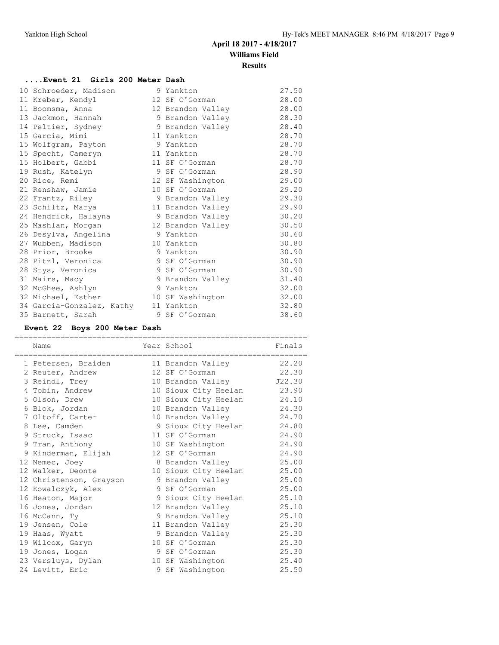**Results**

# **....Event 21 Girls 200 Meter Dash**

| 10 Schroeder, Madison     | 9 Yankton         | 27.50 |
|---------------------------|-------------------|-------|
| 11 Kreber, Kendyl         | 12 SF O'Gorman    | 28.00 |
| 11 Boomsma, Anna          | 12 Brandon Valley | 28.00 |
| 13 Jackmon, Hannah        | 9 Brandon Valley  | 28.30 |
| 14 Peltier, Sydney        | 9 Brandon Valley  | 28.40 |
| 15 Garcia, Mimi           | 11 Yankton        | 28.70 |
| 15 Wolfgram, Payton       | 9 Yankton         | 28.70 |
| 15 Specht, Cameryn        | 11 Yankton        | 28.70 |
| 15 Holbert, Gabbi         | 11 SF O'Gorman    | 28.70 |
| 19 Rush, Katelyn          | 9 SF O'Gorman     | 28.90 |
| 20 Rice, Remi             | 12 SF Washington  | 29.00 |
| 21 Renshaw, Jamie         | 10 SF O'Gorman    | 29.20 |
| 22 Frantz, Riley          | 9 Brandon Valley  | 29.30 |
| 23 Schiltz, Marya         | 11 Brandon Valley | 29.90 |
| 24 Hendrick, Halayna      | 9 Brandon Valley  | 30.20 |
| 25 Mashlan, Morgan        | 12 Brandon Valley | 30.50 |
| 26 Desylva, Angelina      | 9 Yankton         | 30.60 |
| 27 Wubben, Madison        | 10 Yankton        | 30.80 |
| 28 Prior, Brooke          | 9 Yankton         | 30.90 |
| 28 Pitzl, Veronica        | 9 SF O'Gorman     | 30.90 |
| 28 Stys, Veronica         | 9 SF O'Gorman     | 30.90 |
| 31 Mairs, Macy            | 9 Brandon Valley  | 31.40 |
| 32 McGhee, Ashlyn         | 9 Yankton         | 32.00 |
| 32 Michael, Esther        | 10 SF Washington  | 32.00 |
| 34 Garcia-Gonzalez, Kathy | 11 Yankton        | 32.80 |
| 35 Barnett, Sarah         | 9 SF O'Gorman     | 38.60 |

# **Event 22 Boys 200 Meter Dash**

| =====================                 |                            |        |
|---------------------------------------|----------------------------|--------|
| Name                                  | Year School                | Finals |
| ================================      | =========================  |        |
| 1 Petersen, Braiden 11 Brandon Valley |                            | 22.20  |
| 2 Reuter, Andrew                      | 12 SF O'Gorman             | 22.30  |
| 3 Reindl, Trey                        | 10 Brandon Valley J22.30   |        |
| 4 Tobin, Andrew                       | 10 Sioux City Heelan 23.90 |        |
| 5 Olson, Drew                         | 10 Sioux City Heelan 24.10 |        |
| 6 Blok, Jordan                        | 10 Brandon Valley          | 24.30  |
| 7 Oltoff, Carter                      | 10 Brandon Valley          | 24.70  |
| 8 Lee, Camden                         | 9 Sioux City Heelan        | 24.80  |
| 9 Struck, Isaac                       | 11 SF O'Gorman             | 24.90  |
| 9 Tran, Anthony                       | 10 SF Washington           | 24.90  |
| 9 Kinderman, Elijah                   | 12 SF O'Gorman             | 24.90  |
| 12 Nemec, Joey                        | 8 Brandon Valley           | 25.00  |
| 12 Walker, Deonte                     | 10 Sioux City Heelan       | 25.00  |
| 12 Christenson, Grayson               | 9 Brandon Valley           | 25.00  |
| 12 Kowalczyk, Alex                    | 9 SF O'Gorman              | 25.00  |
| 16 Heaton, Major                      | 9 Sioux City Heelan 25.10  |        |
| 16 Jones, Jordan                      | 12 Brandon Valley          | 25.10  |
| 16 McCann, Ty                         | 9 Brandon Valley           | 25.10  |
| 19 Jensen, Cole                       | 11 Brandon Valley          | 25.30  |
| 19 Haas, Wyatt                        | 9 Brandon Valley           | 25.30  |
| 19 Wilcox, Garyn                      | 10 SF O'Gorman             | 25.30  |
| 19 Jones, Logan                       | 9 SF O'Gorman              | 25.30  |
| 23 Versluys, Dylan                    | 10 SF Washington           | 25.40  |
| 24 Levitt, Eric                       | 9 SF Washington            | 25.50  |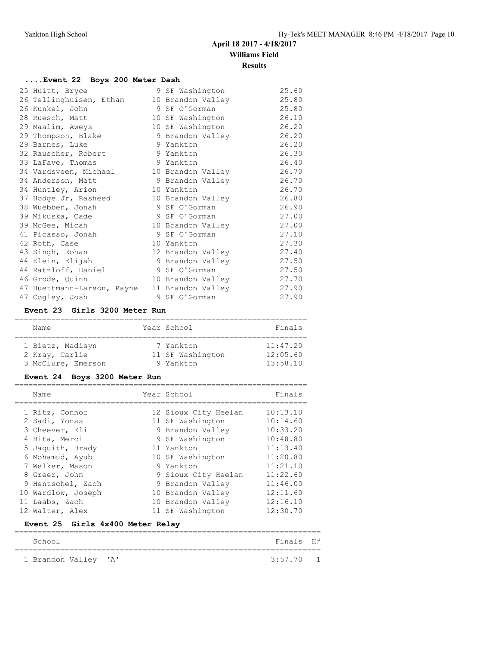# **Results**

# **....Event 22 Boys 200 Meter Dash**

| 25 Huitt, Bryce                              | 9 SF Washington   | 25.60 |
|----------------------------------------------|-------------------|-------|
| 26 Tellinghuisen, Ethan                      | 10 Brandon Valley | 25.80 |
| 26 Kunkel, John                              | 9 SF O'Gorman     | 25.80 |
| 28 Ruesch, Matt                              | 10 SF Washington  | 26.10 |
| 29 Maalim, Aweys                             | 10 SF Washington  | 26.20 |
| 29 Thompson, Blake                           | 9 Brandon Valley  | 26.20 |
| 29 Barnes, Luke                              | 9 Yankton         | 26.20 |
| 32 Rauscher, Robert                          | 9 Yankton         | 26.30 |
| 33 LaFave, Thomas                            | 9 Yankton         | 26.40 |
| 34 Vardsveen, Michael 10 Brandon Valley      |                   | 26.70 |
| 34 Anderson, Matt                            | 9 Brandon Valley  | 26.70 |
| 34 Huntley, Arion                            | 10 Yankton        | 26.70 |
| 37 Hodge Jr, Rasheed                         | 10 Brandon Valley | 26.80 |
| 38 Wuebben, Jonah                            | 9 SF O'Gorman     | 26.90 |
| 39 Mikuska, Cade                             | 9 SF O'Gorman     | 27.00 |
| 39 McGee, Micah                              | 10 Brandon Valley | 27.00 |
| 41 Picasso, Jonah                            | 9 SF O'Gorman     | 27.10 |
| 42 Roth, Case                                | 10 Yankton        | 27.30 |
| 43 Singh, Rohan                              | 12 Brandon Valley | 27.40 |
| 44 Klein, Elijah                             | 9 Brandon Valley  | 27.50 |
| 44 Ratzloff, Daniel                          | 9 SF O'Gorman     | 27.50 |
| 46 Grode, Quinn                              | 10 Brandon Valley | 27.70 |
| 47 Huettmann-Larson, Rayne 11 Brandon Valley |                   | 27.90 |
| 47 Cogley, Josh                              | 9 SF O'Gorman     | 27.90 |

#### **Event 23 Girls 3200 Meter Run**

| Name               | Year School      | Finals   |
|--------------------|------------------|----------|
|                    |                  |          |
| 1 Bietz, Madisyn   | 7 Yankton        | 11:47.20 |
| 2 Kray, Carlie     | 11 SF Washington | 12:05.60 |
| 3 McClure, Emerson | 9 Yankton        | 13:58.10 |

# **Event 24 Boys 3200 Meter Run**

| Name                             | Year School          | Finals   |
|----------------------------------|----------------------|----------|
| 1 Ritz, Connor                   | 12 Sioux City Heelan | 10:13.10 |
| 2 Sadi, Yonas                    | 11 SF Washington     | 10:14.60 |
| 3 Cheever, Eli                   | 9 Brandon Valley     | 10:33.20 |
| 4 Bita, Merci                    | 9 SF Washington      | 10:48.80 |
| 5 Jaquith, Brady                 | 11 Yankton           | 11:13.40 |
| 6 Mohamud, Ayub                  | 10 SF Washington     | 11:20.80 |
| 7 Welker, Mason                  | 9 Yankton            | 11:21.10 |
| 8 Greer, John                    | 9 Sioux City Heelan  | 11:22.60 |
| 9 Hentschel, Zach                | 9 Brandon Valley     | 11:46.00 |
| 10 Wardlow, Joseph               | 10 Brandon Valley    | 12:11.60 |
| 11 Laabs, Zach                   | 10 Brandon Valley    | 12:16.10 |
| 12 Walter, Alex                  | 11 SF Washington     | 12:30.70 |
| Event 25 Girls 4x400 Meter Relay |                      |          |

| School               | Finals H#   |  |
|----------------------|-------------|--|
| 1 Brandon Valley 'A' | $3:57.70$ 1 |  |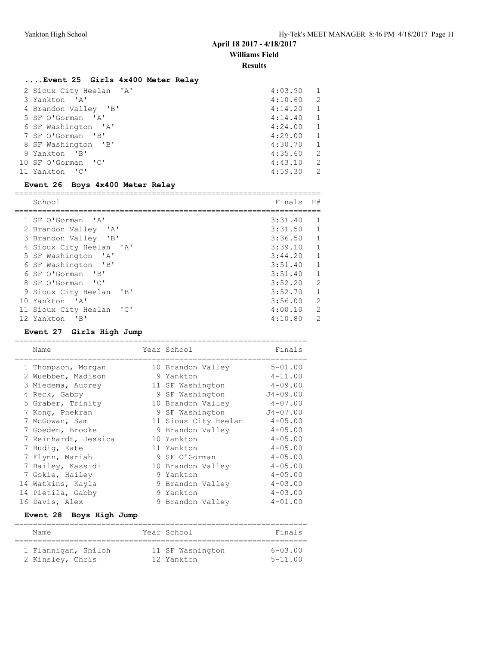**Results**

# **....Event 25 Girls 4x400 Meter Relay**

| 2 Sioux City Heelan 'A' | 4:03.90 | 1             |
|-------------------------|---------|---------------|
| 3 Yankton 'A'           | 4:10.60 | 2             |
| 4 Brandon Valley 'B'    | 4:14.20 | 1             |
| 5 SF O'Gorman 'A'       | 4:14.40 | 1             |
| 6 SF Washington 'A'     | 4:24.00 | 1             |
| 7 SF O'Gorman 'B'       | 4:29.00 | 1             |
| 8 SF Washington 'B'     | 4:30.70 | 1             |
| 9 Yankton 'B'           | 4:35.60 | 2             |
| 10 SF O'Gorman 'C'      | 4:43.10 | 2             |
| 11 Yankton 'C'          | 4:59.30 | $\mathcal{L}$ |

#### **Event 26 Boys 4x400 Meter Relay**

| School                                                     | Finals  | H#             |  |  |  |  |
|------------------------------------------------------------|---------|----------------|--|--|--|--|
|                                                            |         |                |  |  |  |  |
| 1 SF O'Gorman 'A'                                          | 3:31.40 | -1             |  |  |  |  |
| 2 Brandon Valley 'A'                                       | 3:31.50 | $\mathbf{1}$   |  |  |  |  |
| 3 Brandon Valley 'B'                                       | 3:36.50 | $\overline{1}$ |  |  |  |  |
| 4 Sioux City Heelan 'A'                                    | 3:39.10 | $\overline{1}$ |  |  |  |  |
| 5 SF Washington 'A'                                        | 3:44.20 | $\mathbf{1}$   |  |  |  |  |
| 6 SF Washington 'B'                                        | 3:51.40 | $\overline{1}$ |  |  |  |  |
| 6 SF O'Gorman 'B'                                          | 3:51.40 | $\mathbf{1}$   |  |  |  |  |
| 8 SF O'Gorman 'C'                                          | 3:52.20 | 2              |  |  |  |  |
| 9 Sioux City Heelan<br>$'$ B                               | 3:52.70 | $\mathbf{1}$   |  |  |  |  |
| 10 Yankton 'A'                                             | 3:56.00 | $\mathcal{L}$  |  |  |  |  |
| $\overline{\phantom{a}}$<br>11 Sioux City Heelan           | 4:00.10 | $\mathcal{L}$  |  |  |  |  |
| 12 Yankton<br>$^{\prime}$ B <sup><math>\prime</math></sup> | 4:10.80 | $\mathcal{L}$  |  |  |  |  |

# **Event 27 Girls High Jump**

| Name                 |   | Year School          | Finals       |
|----------------------|---|----------------------|--------------|
| 1 Thompson, Morgan   |   | 10 Brandon Valley    | $5 - 01.00$  |
| 2 Wuebben, Madison   |   | 9 Yankton            | $4 - 11.00$  |
| 3 Miedema, Aubrey    |   | 11 SF Washington     | $4 - 09.00$  |
| 4 Reck, Gabby        |   | 9 SF Washington      | $J4 - 09.00$ |
| 5 Graber, Trinity    |   | 10 Brandon Valley    | $4 - 07.00$  |
| 7 Kong, Phekran      |   | 9 SF Washington      | $J4 - 07.00$ |
| 7 McGowan, Sam       |   | 11 Sioux City Heelan | $4 - 05.00$  |
| 7 Goeden, Brooke     |   | 9 Brandon Valley     | $4 - 05.00$  |
| 7 Reinhardt, Jessica |   | 10 Yankton           | $4 - 05.00$  |
| 7 Budiq, Kate        |   | 11 Yankton           | $4 - 05.00$  |
| 7 Flynn, Mariah      |   | 9 SF O'Gorman        | $4 - 05.00$  |
| 7 Bailey, Kassidi    |   | 10 Brandon Valley    | $4 - 05.00$  |
| 7 Gokie, Hailey      |   | 9 Yankton            | $4 - 05.00$  |
| 14 Watkins, Kayla    |   | 9 Brandon Valley     | $4 - 03.00$  |
| 14 Pietila, Gabby    | 9 | Yankton              | $4 - 03.00$  |
| 16 Davis, Alex       |   | 9 Brandon Valley     | $4 - 01.00$  |

#### **Event 28 Boys High Jump**

| Name |                                         | Year School                    | Finals                     |
|------|-----------------------------------------|--------------------------------|----------------------------|
|      | 1 Flannigan, Shiloh<br>2 Kinsley, Chris | 11 SF Washington<br>12 Yankton | $6 - 03.00$<br>$5 - 11.00$ |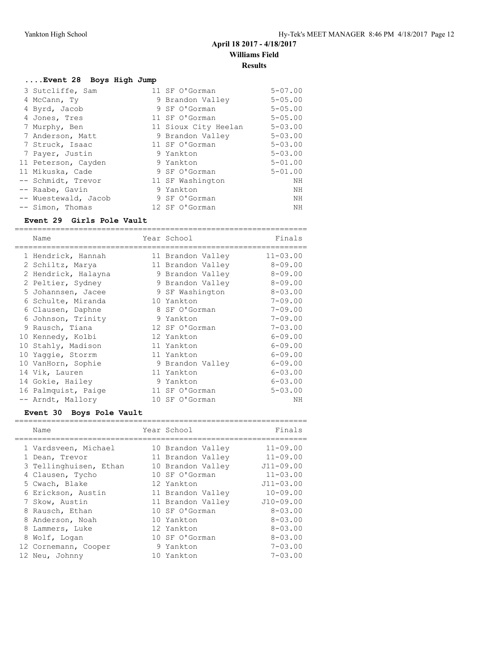# **....Event 28 Boys High Jump**

| 3 Sutcliffe, Sam     | 11 SF O'Gorman       | $5 - 07.00$ |
|----------------------|----------------------|-------------|
| 4 McCann, Ty         | 9 Brandon Valley     | $5 - 05.00$ |
| 4 Byrd, Jacob        | 9 SF O'Gorman        | $5 - 05.00$ |
| 4 Jones, Tres        | 11 SF O'Gorman       | $5 - 05.00$ |
| 7 Murphy, Ben        | 11 Sioux City Heelan | $5 - 03.00$ |
| 7 Anderson, Matt     | 9 Brandon Valley     | $5 - 03.00$ |
| 7 Struck, Isaac      | 11 SF O'Gorman       | $5 - 03.00$ |
| 7 Payer, Justin      | 9 Yankton            | $5 - 03.00$ |
| 11 Peterson, Cayden  | 9 Yankton            | $5 - 01.00$ |
| 11 Mikuska, Cade     | 9 SF O'Gorman        | $5 - 01.00$ |
| -- Schmidt, Trevor   | 11 SF Washington     | NH          |
| -- Raabe, Gavin      | 9 Yankton            | NH          |
| -- Wuestewald, Jacob | 9 SF O'Gorman        | ΝH          |
| -- Simon, Thomas     | 12 SF O'Gorman       | NH          |

#### **Event 29 Girls Pole Vault**

| Name                | Year School       | Finals       |
|---------------------|-------------------|--------------|
| 1 Hendrick, Hannah  | 11 Brandon Valley | $11 - 03.00$ |
| 2 Schiltz, Marya    | 11 Brandon Valley | $8 - 09.00$  |
| 2 Hendrick, Halayna | 9 Brandon Valley  | $8 - 09.00$  |
| 2 Peltier, Sydney   | 9 Brandon Valley  | $8 - 09.00$  |
| 5 Johannsen, Jacee  | 9 SF Washington   | $8 - 03.00$  |
| 6 Schulte, Miranda  | 10 Yankton        | $7 - 09.00$  |
| 6 Clausen, Daphne   | 8 SF O'Gorman     | $7 - 09.00$  |
| 6 Johnson, Trinity  | 9 Yankton         | $7 - 09.00$  |
| 9 Rausch, Tiana     | 12 SF O'Gorman    | $7 - 03.00$  |
| 10 Kennedy, Kolbi   | 12 Yankton        | $6 - 09.00$  |
| 10 Stahly, Madison  | 11 Yankton        | $6 - 09.00$  |
| 10 Yaqqie, Storrm   | 11 Yankton        | $6 - 09.00$  |
| 10 VanHorn, Sophie  | 9 Brandon Valley  | $6 - 09.00$  |
| 14 Vik, Lauren      | 11 Yankton        | $6 - 03.00$  |
| 14 Gokie, Hailey    | 9 Yankton         | $6 - 03.00$  |
| 16 Palmquist, Paige | 11 SF O'Gorman    | $5 - 03.00$  |
| -- Arndt, Mallory   | 10 SF O'Gorman    | NΗ           |

# **Event 30 Boys Pole Vault**

| Name                   | Year School       | Finals         |
|------------------------|-------------------|----------------|
|                        |                   |                |
| 1 Vardsveen, Michael   | 10 Brandon Valley | $11 - 09.00$   |
| 1 Dean, Trevor         | 11 Brandon Valley | $11 - 09.00$   |
| 3 Tellinghuisen, Ethan | 10 Brandon Valley | $J11 - 09.00$  |
| 4 Clausen, Tycho       | 10 SF O'Gorman    | $11 - 03.00$   |
| 5 Cwach, Blake         | 12 Yankton        | $J11 - 03.00$  |
| 6 Erickson, Austin     | 11 Brandon Valley | $10 - 09.00$   |
| 7 Skow, Austin         | 11 Brandon Valley | $J10-09.00$    |
| 8 Rausch, Ethan        | 10 SF O'Gorman    | $8 - 0.3$ , 00 |
| 8 Anderson, Noah       | 10 Yankton        | $8 - 03.00$    |
| 8 Lammers, Luke        | 12 Yankton        | $8 - 0.3$ , 00 |
| 8 Wolf, Logan          | 10 SF O'Gorman    | $8 - 03.00$    |
| 12 Cornemann, Cooper   | 9 Yankton         | $7 - 03.00$    |
| 12 Neu, Johnny         | 10 Yankton        | $7 - 0.3$ , 00 |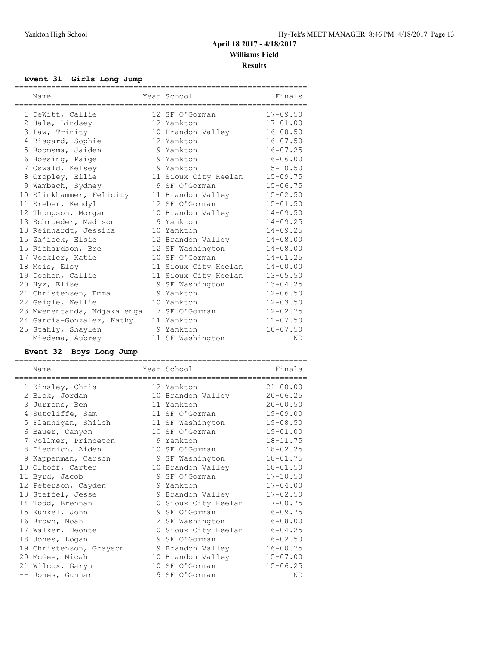#### **Event 31 Girls Long Jump**

| Name                                      | Year School<br>------------ | Finals       |
|-------------------------------------------|-----------------------------|--------------|
| 1 DeWitt, Callie                          | 12 SF O'Gorman              | $17 - 09.50$ |
| 2 Hale, Lindsey                           | 12 Yankton                  | $17 - 01.00$ |
| 3 Law, Trinity                            | 10 Brandon Valley           | $16 - 08.50$ |
| 4 Bisgard, Sophie                         | 12 Yankton                  | $16 - 07.50$ |
| 5 Boomsma, Jaiden                         | 9 Yankton                   | $16 - 07.25$ |
| 6 Hoesing, Paige                          | 9 Yankton                   | $16 - 06.00$ |
| 7 Oswald, Kelsey                          | 9 Yankton                   | $15 - 10.50$ |
| 8 Cropley, Ellie                          | 11 Sioux City Heelan        | $15 - 09.75$ |
| 9 Wambach, Sydney                         | 9 SF O'Gorman               | $15 - 06.75$ |
| 10 Klinkhammer, Felicity                  | 11 Brandon Valley           | $15 - 02.50$ |
| 11 Kreber, Kendyl                         | 12 SF O'Gorman              | $15 - 01.50$ |
| 12 Thompson, Morgan                       | 10 Brandon Valley           | $14 - 09.50$ |
| 13 Schroeder, Madison                     | 9 Yankton                   | $14 - 09.25$ |
| 13 Reinhardt, Jessica                     | 10 Yankton                  | $14 - 09.25$ |
| 15 Zajicek, Elsie                         | 12 Brandon Valley           | $14 - 08.00$ |
| 15 Richardson, Bre                        | 12 SF Washington            | $14 - 08.00$ |
| 17 Vockler, Katie                         | 10 SF O'Gorman              | $14 - 01.25$ |
| 18 Meis, Elsy                             | 11 Sioux City Heelan        | $14 - 00.00$ |
| 19 Doohen, Callie                         | 11 Sioux City Heelan        | $13 - 05.50$ |
| 20 Hyz, Elise                             | 9 SF Washington             | $13 - 04.25$ |
| 21 Christensen, Emma                      | 9 Yankton                   | $12 - 06.50$ |
| 22 Geigle, Kellie                         | 10 Yankton                  | $12 - 03.50$ |
| 23 Mwenentanda, Ndjakalenga 7 SF O'Gorman |                             | $12 - 02.75$ |
| 24 Garcia-Gonzalez, Kathy                 | 11 Yankton                  | $11 - 07.50$ |
| 25 Stahly, Shaylen                        | 9 Yankton                   | $10 - 07.50$ |
| -- Miedema, Aubrey                        | 11 SF Washington            | ND           |

#### **Event 32 Boys Long Jump**

| Name                    | Year School          | Finals       |
|-------------------------|----------------------|--------------|
| 1 Kinsley, Chris        | 12 Yankton           | $21 - 00.00$ |
| 2 Blok, Jordan          | 10 Brandon Valley    | $20 - 06.25$ |
| 3 Jurrens, Ben          | 11 Yankton           | $20 - 00.50$ |
| 4 Sutcliffe, Sam        | 11 SF O'Gorman       | $19 - 09.00$ |
| 5 Flannigan, Shiloh     | 11 SF Washington     | $19 - 08.50$ |
| 6 Bauer, Canyon         | 10 SF O'Gorman       | $19 - 01.00$ |
| 7 Vollmer, Princeton    | 9 Yankton            | $18 - 11.75$ |
| 8 Diedrich, Aiden       | 10 SF O'Gorman       | $18 - 02.25$ |
| 9 Kappenman, Carson     | 9 SF Washington      | $18 - 01.75$ |
| 10 Oltoff, Carter       | 10 Brandon Valley    | $18 - 01.50$ |
| 11 Byrd, Jacob          | 9 SF O'Gorman        | $17 - 10.50$ |
| 12 Peterson, Cayden     | 9 Yankton            | $17 - 04.00$ |
| 13 Steffel, Jesse       | 9 Brandon Valley     | $17 - 02.50$ |
| 14 Todd, Brennan        | 10 Sioux City Heelan | $17 - 00.75$ |
| 15 Kunkel, John         | 9 SF O'Gorman        | $16 - 09.75$ |
| 16 Brown, Noah          | 12 SF Washington     | $16 - 08.00$ |
| 17 Walker, Deonte       | 10 Sioux City Heelan | $16 - 04.25$ |
| 18 Jones, Logan         | 9 SF O'Gorman        | $16 - 02.50$ |
| 19 Christenson, Grayson | 9 Brandon Valley     | $16 - 00.75$ |
| 20 McGee, Micah         | 10 Brandon Valley    | $15 - 07.00$ |
| 21 Wilcox, Garyn        | 10 SF O'Gorman       | $15 - 06.25$ |
| -- Jones, Gunnar        | 9 SF O'Gorman        | <b>ND</b>    |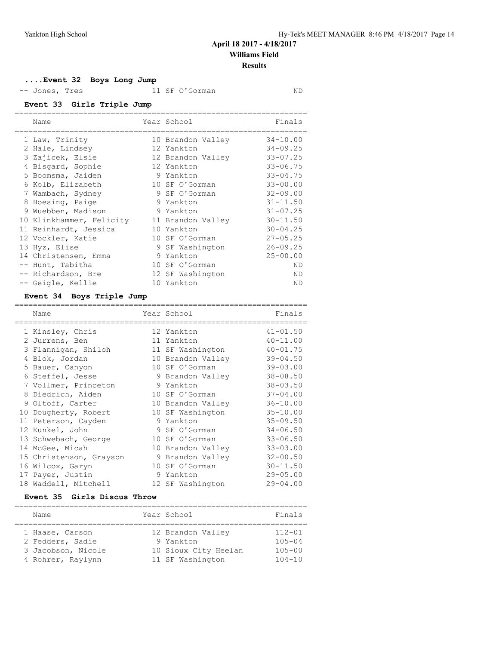**....Event 32 Boys Long Jump**

-- Jones, Tres 11 SF O'Gorman ND

**Event 33 Girls Triple Jump** ================================================================

| Name                     | Year School       | Finals       |
|--------------------------|-------------------|--------------|
| 1 Law, Trinity           | 10 Brandon Valley | $34 - 10.00$ |
| 2 Hale, Lindsey          | 12 Yankton        | $34 - 09.25$ |
| 3 Zajicek, Elsie         | 12 Brandon Valley | $33 - 07.25$ |
| 4 Bisgard, Sophie        | 12 Yankton        | $33 - 06.75$ |
| 5 Boomsma, Jaiden        | 9 Yankton         | $33 - 04.75$ |
| 6 Kolb, Elizabeth        | 10 SF O'Gorman    | $33 - 00.00$ |
| 7 Wambach, Sydney        | 9 SF O'Gorman     | $32 - 09.00$ |
| 8 Hoesing, Paige         | 9 Yankton         | $31 - 11.50$ |
| 9 Wuebben, Madison       | 9 Yankton         | $31 - 07.25$ |
| 10 Klinkhammer, Felicity | 11 Brandon Valley | $30 - 11.50$ |
| 11 Reinhardt, Jessica    | 10 Yankton        | $30 - 04.25$ |
| 12 Vockler, Katie        | 10 SF O'Gorman    | $27 - 05.25$ |
| 13 Hyz, Elise            | 9 SF Washington   | $26 - 09.25$ |
| 14 Christensen, Emma     | 9 Yankton         | $25 - 00.00$ |
| -- Hunt, Tabitha         | 10 SF O'Gorman    | ND           |
| -- Richardson, Bre       | 12 SF Washington  | ND.          |
| -- Geigle, Kellie        | 10 Yankton        | ND           |

# **Event 34 Boys Triple Jump**

| Name<br>----------------- | Year School<br>------------- | Finals       |
|---------------------------|------------------------------|--------------|
| 1 Kinsley, Chris          | 12 Yankton                   | $41 - 01.50$ |
| 2 Jurrens, Ben            | 11 Yankton                   | $40 - 11.00$ |
| 3 Flannigan, Shiloh       | 11 SF Washington             | $40 - 01.75$ |
| 4 Blok, Jordan            | 10 Brandon Valley            | $39 - 04.50$ |
| 5 Bauer, Canyon           | 10 SF O'Gorman               | $39 - 03.00$ |
| 6 Steffel, Jesse          | 9 Brandon Valley             | $38 - 08.50$ |
| 7 Vollmer, Princeton      | 9 Yankton                    | $38 - 03.50$ |
| 8 Diedrich, Aiden         | 10 SF O'Gorman               | $37 - 04.00$ |
| 9 Oltoff, Carter          | 10 Brandon Valley            | $36 - 10.00$ |
| 10 Dougherty, Robert      | 10 SF Washington             | $35 - 10.00$ |
| 11 Peterson, Cayden       | 9 Yankton                    | $35 - 09.50$ |
| 12 Kunkel, John           | 9 SF O'Gorman                | $34 - 06.50$ |
| 13 Schwebach, George      | 10 SF O'Gorman               | $33 - 06.50$ |
| 14 McGee, Micah           | 10 Brandon Valley            | $33 - 03.00$ |
| 15 Christenson, Grayson   | 9 Brandon Valley             | $32 - 00.50$ |
| 16 Wilcox, Garyn          | 10 SF O'Gorman               | $30 - 11.50$ |
| 17 Payer, Justin          | 9 Yankton                    | $29 - 05.00$ |
| 18 Waddell, Mitchell      | 12 SF Washington             | $29 - 04.00$ |

#### **Event 35 Girls Discus Throw**

|  | Name               |  | Year School          | Finals     |  |
|--|--------------------|--|----------------------|------------|--|
|  |                    |  |                      |            |  |
|  | 1 Haase, Carson    |  | 12 Brandon Valley    | $112 - 01$ |  |
|  | 2 Fedders, Sadie   |  | 9 Yankton            | $105 - 04$ |  |
|  | 3 Jacobson, Nicole |  | 10 Sioux City Heelan | $105 - 00$ |  |
|  | 4 Rohrer, Raylynn  |  | 11 SF Washington     | $104 - 10$ |  |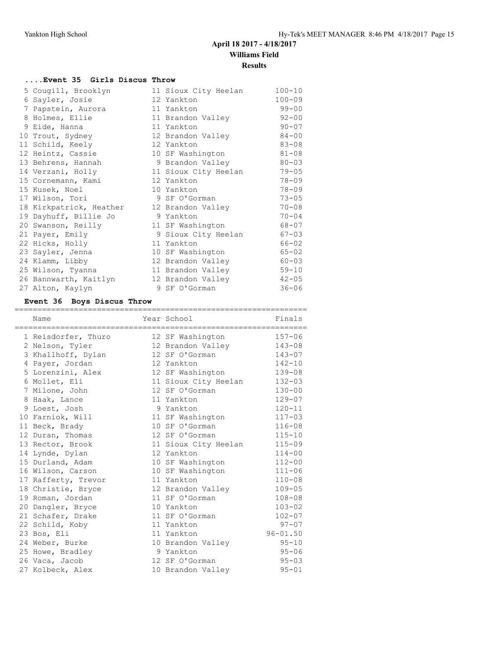#### **....Event 35 Girls Discus Throw**

|  | 5 Cougill, Brooklyn     | 11 Sioux City Heelan | $100 - 10$ |
|--|-------------------------|----------------------|------------|
|  | 6 Sayler, Josie         | 12 Yankton           | $100 - 09$ |
|  | 7 Papstein, Aurora      | 11 Yankton           | $99 - 00$  |
|  | 8 Holmes, Ellie         | 11 Brandon Valley    | $92 - 00$  |
|  | 9 Eide, Hanna           | 11 Yankton           | $90 - 07$  |
|  | 10 Trout, Sydney        | 12 Brandon Valley    | $84 - 00$  |
|  | 11 Schild, Keely        | 12 Yankton           | $83 - 08$  |
|  | 12 Heintz, Cassie       | 10 SF Washington     | $81 - 08$  |
|  | 13 Behrens, Hannah      | 9 Brandon Valley     | $80 - 03$  |
|  | 14 Verzani, Holly       | 11 Sioux City Heelan | $79 - 05$  |
|  | 15 Cornemann, Kami      | 12 Yankton           | $78 - 09$  |
|  | 15 Kusek, Noel          | 10 Yankton           | $78 - 09$  |
|  | 17 Wilson, Tori         | 9 SF O'Gorman        | $73 - 05$  |
|  | 18 Kirkpatrick, Heather | 12 Brandon Valley    | $70 - 08$  |
|  | 19 Dayhuff, Billie Jo   | 9 Yankton            | $70 - 04$  |
|  | 20 Swanson, Reilly      | 11 SF Washington     | $68 - 07$  |
|  | 21 Payer, Emily         | 9 Sioux City Heelan  | $67 - 03$  |
|  | 22 Hicks, Holly         | 11 Yankton           | $66 - 02$  |
|  | 23 Sayler, Jenna        | 10 SF Washington     | $65 - 02$  |
|  | 24 Klamm, Libby         | 12 Brandon Valley    | $60 - 03$  |
|  | 25 Wilson, Tyanna       | 11 Brandon Valley    | $59 - 10$  |
|  | 26 Bannwarth, Kaitlyn   | 12 Brandon Valley    | $42 - 05$  |
|  | 27 Alton, Kaylyn        | 9 SF O'Gorman        | $36 - 06$  |

# **Event 36 Boys Discus Throw**

| Name                | Year School                 | Finals       |
|---------------------|-----------------------------|--------------|
| 1 Reisdorfer, Thuro | 12 SF Washington            | $157 - 06$   |
| 2 Nelson, Tyler     | 12 Brandon Valley           | 143-08       |
| 3 Khallhoff, Dylan  | 12 SF O'Gorman              | $143 - 07$   |
| 4 Payer, Jordan     | 12 Yankton                  | $142 - 10$   |
| 5 Lorenzini, Alex   | 12 SF Washington            | 139-08       |
| 6 Mollet, Eli       | 11 Sioux City Heelan 132-03 |              |
| 7 Milone, John      | 12 SF O'Gorman              | $130 - 00$   |
| 8 Haak, Lance       | 11 Yankton                  | $129 - 07$   |
| 9 Loest, Josh       | 9 Yankton                   | $120 - 11$   |
| 10 Farniok, Will    | 11 SF Washington            | $117 - 03$   |
| 11 Beck, Brady      | 10 SF O'Gorman              | $116 - 08$   |
| 12 Duran, Thomas    | 12 SF O'Gorman              | $115 - 10$   |
| 13 Rector, Brook    | 11 Sioux City Heelan        | $115 - 09$   |
| 14 Lynde, Dylan     | 12 Yankton                  | $114 - 00$   |
| 15 Durland, Adam    | 10 SF Washington            | $112 - 00$   |
| 16 Wilson, Carson   | 10 SF Washington            | $111 - 06$   |
| 17 Rafferty, Trevor | 11 Yankton                  | $110 - 08$   |
| 18 Christie, Bryce  | 12 Brandon Valley           | $109 - 05$   |
| 19 Roman, Jordan    | 11 SF O'Gorman              | $108 - 08$   |
| 20 Dangler, Bryce   | 10 Yankton                  | $103 - 02$   |
| 21 Schafer, Drake   | 11 SF O'Gorman              | $102 - 07$   |
| 22 Schild, Koby     | 11 Yankton                  | $97 - 07$    |
| 23 Bos, Eli         | 11 Yankton                  | $96 - 01.50$ |
| 24 Weber, Burke     | 10 Brandon Valley           | $95 - 10$    |
| 25 Howe, Bradley    | 9 Yankton                   | $95 - 06$    |
| 26 Vaca, Jacob      | 12 SF O'Gorman              | $95 - 03$    |
| 27 Kolbeck, Alex    | 10 Brandon Valley           | $95 - 01$    |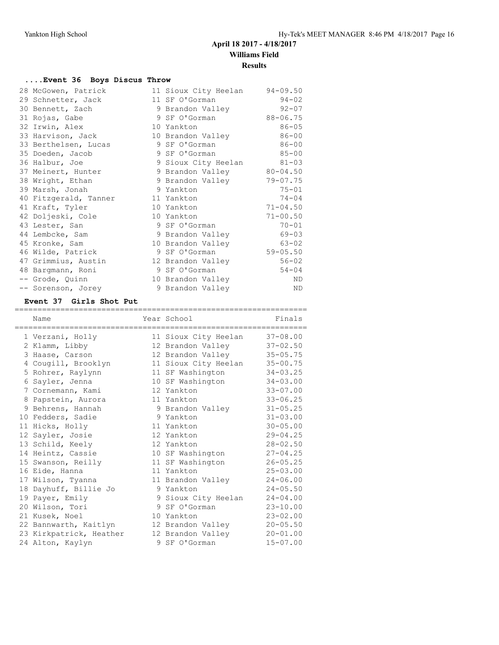# **....Event 36 Boys Discus Throw**

| 28 McGowen, Patrick   | 11 Sioux City Heelan      | $94 - 09.50$ |
|-----------------------|---------------------------|--------------|
| 29 Schnetter, Jack    | 11 SF O'Gorman            | $94 - 02$    |
| 30 Bennett, Zach      | 9 Brandon Valley          | $92 - 07$    |
| 31 Rojas, Gabe        | 9 SF O'Gorman             | 88-06.75     |
| 32 Irwin, Alex        | 10 Yankton                | $86 - 05$    |
| 33 Harvison, Jack     | 10 Brandon Valley         | $86 - 00$    |
| 33 Berthelsen, Lucas  | 9 SF O'Gorman             | $86 - 00$    |
| 35 Doeden, Jacob      | 9 SF O'Gorman             | $85 - 00$    |
| 36 Halbur, Joe        | 9 Sioux City Heelan       | $81 - 03$    |
| 37 Meinert, Hunter    | 9 Brandon Valley 80-04.50 |              |
| 38 Wright, Ethan      | 9 Brandon Valley          | $79 - 07.75$ |
| 39 Marsh, Jonah       | 9 Yankton                 | $75 - 01$    |
| 40 Fitzgerald, Tanner | 11 Yankton                | $74 - 04$    |
| 41 Kraft, Tyler       | 10 Yankton                | $71 - 04.50$ |
| 42 Doljeski, Cole     | 10 Yankton                | $71 - 00.50$ |
| 43 Lester, San        | 9 SF O'Gorman             | $70 - 01$    |
| 44 Lembcke, Sam       | 9 Brandon Valley          | $69 - 03$    |
| 45 Kronke, Sam        | 10 Brandon Valley         | $63 - 02$    |
| 46 Wilde, Patrick     | 9 SF O'Gorman             | $59 - 05.50$ |
| 47 Grimmius, Austin   | 12 Brandon Valley         | $56 - 02$    |
| 48 Bargmann, Roni     | 9 SF O'Gorman             | $54 - 04$    |
| -- Grode, Quinn       | 10 Brandon Valley         | ND           |
| -- Sorenson, Jorey    | 9 Brandon Valley          | ND           |

# **Event 37 Girls Shot Put**

| Name                                      | Year School                                     | Finals       |
|-------------------------------------------|-------------------------------------------------|--------------|
| =====================<br>1 Verzani, Holly | =======================<br>11 Sioux City Heelan | $37 - 08.00$ |
| 2 Klamm, Libby                            | 12 Brandon Valley                               | $37 - 02.50$ |
| 3 Haase, Carson                           | 12 Brandon Valley                               | $35 - 05.75$ |
| 4 Cougill, Brooklyn                       | 11 Sioux City Heelan                            | $35 - 00.75$ |
| 5 Rohrer, Raylynn                         | 11 SF Washington                                | $34 - 03.25$ |
| 6 Sayler, Jenna                           | 10 SF Washington                                | $34 - 03.00$ |
| 7 Cornemann, Kami                         | 12 Yankton                                      | $33 - 07.00$ |
| 8 Papstein, Aurora                        | 11 Yankton                                      | $33 - 06.25$ |
| 9 Behrens, Hannah                         | 9 Brandon Valley                                | $31 - 05.25$ |
| 10 Fedders, Sadie                         | 9 Yankton                                       | $31 - 03.00$ |
| 11 Hicks, Holly                           | 11 Yankton                                      | $30 - 05.00$ |
| 12 Sayler, Josie                          | 12 Yankton                                      | $29 - 04.25$ |
| 13 Schild, Keely                          | 12 Yankton                                      | $28 - 02.50$ |
| 14 Heintz, Cassie                         | 10 SF Washington                                | $27 - 04.25$ |
| 15 Swanson, Reilly                        | 11 SF Washington                                | $26 - 05.25$ |
| 16 Eide, Hanna                            | 11 Yankton                                      | $25 - 03.00$ |
| 17 Wilson, Tyanna                         | 11 Brandon Valley                               | $24 - 06.00$ |
| 18 Dayhuff, Billie Jo                     | 9 Yankton                                       | $24 - 05.50$ |
| 19 Payer, Emily                           | 9 Sioux City Heelan                             | $24 - 04.00$ |
| 20 Wilson, Tori                           | 9 SF O'Gorman                                   | $23 - 10.00$ |
| 21 Kusek, Noel                            | 10 Yankton                                      | $23 - 02.00$ |
| 22 Bannwarth, Kaitlyn                     | 12 Brandon Valley                               | $20 - 05.50$ |
| 23 Kirkpatrick, Heather                   | 12 Brandon Valley                               | $20 - 01.00$ |
| 24 Alton, Kaylyn                          | 9 SF O'Gorman                                   | $15 - 07.00$ |